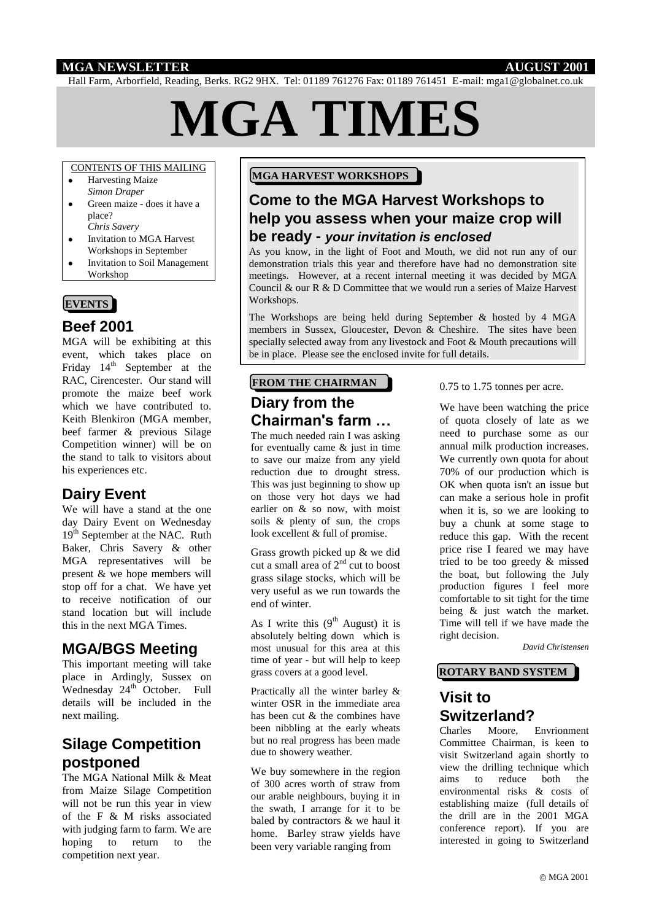#### **MGA NEWSLETTER AUGUST 2001**

Hall Farm, Arborfield, Reading, Berks. RG2 9HX. Tel: 01189 761276 Fax: 01189 761451 E-mail: mga1@globalnet.co.uk

# **MGA TIMES**

#### CONTENTS OF THIS MAILING

- Harvesting Maize *Simon Draper*
- Green maize does it have a place? *Chris Savery*
- Invitation to MGA Harvest Workshops in September
- Invitation to Soil Management Workshop

#### **EVENTS**

#### **Beef 2001**

MGA will be exhibiting at this event, which takes place on Friday  $14<sup>th</sup>$  September at the RAC, Cirencester. Our stand will promote the maize beef work which we have contributed to. Keith Blenkiron (MGA member, beef farmer & previous Silage Competition winner) will be on the stand to talk to visitors about his experiences etc.

### **Dairy Event**

We will have a stand at the one day Dairy Event on Wednesday 19<sup>th</sup> September at the NAC. Ruth Baker, Chris Savery & other MGA representatives will be present & we hope members will stop off for a chat. We have yet to receive notification of our stand location but will include this in the next MGA Times.

### **MGA/BGS Meeting**

This important meeting will take place in Ardingly, Sussex on Wednesday  $24<sup>th</sup>$  October. Full details will be included in the next mailing.

# **Silage Competition postponed**

The MGA National Milk & Meat from Maize Silage Competition will not be run this year in view of the F & M risks associated with judging farm to farm. We are hoping to return to the competition next year.

#### **MGA HARVEST WORKSHOPS**

# **Come to the MGA Harvest Workshops to help you assess when your maize crop will be ready -** *your invitation is enclosed*

As you know, in the light of Foot and Mouth, we did not run any of our demonstration trials this year and therefore have had no demonstration site meetings. However, at a recent internal meeting it was decided by MGA Council & our R & D Committee that we would run a series of Maize Harvest Workshops.

The Workshops are being held during September & hosted by 4 MGA members in Sussex, Gloucester, Devon & Cheshire. The sites have been specially selected away from any livestock and Foot & Mouth precautions will be in place. Please see the enclosed invite for full details.

# **Diary from the Chairman's farm … FROM THE CHAIRMAN**

The much needed rain I was asking for eventually came  $\&$  just in time to save our maize from any yield reduction due to drought stress. This was just beginning to show up on those very hot days we had earlier on & so now, with moist soils & plenty of sun, the crops look excellent & full of promise.

Grass growth picked up & we did cut a small area of  $2<sup>nd</sup>$  cut to boost grass silage stocks, which will be very useful as we run towards the end of winter.

As I write this  $(9<sup>th</sup>$  August) it is absolutely belting down which is most unusual for this area at this time of year - but will help to keep grass covers at a good level.

Practically all the winter barley & winter OSR in the immediate area has been cut & the combines have been nibbling at the early wheats but no real progress has been made due to showery weather.

We buy somewhere in the region of 300 acres worth of straw from our arable neighbours, buying it in the swath, I arrange for it to be baled by contractors & we haul it home. Barley straw yields have been very variable ranging from

0.75 to 1.75 tonnes per acre.

We have been watching the price of quota closely of late as we need to purchase some as our annual milk production increases. We currently own quota for about 70% of our production which is OK when quota isn't an issue but can make a serious hole in profit when it is, so we are looking to buy a chunk at some stage to reduce this gap. With the recent price rise I feared we may have tried to be too greedy & missed the boat, but following the July production figures I feel more comfortable to sit tight for the time being  $\&$  just watch the market. Time will tell if we have made the right decision.

*David Christensen*

#### **ROTARY BAND SYSTEM**

# **Visit to Switzerland?**

Charles Moore, Envrionment Committee Chairman, is keen to visit Switzerland again shortly to view the drilling technique which aims to reduce both the environmental risks & costs of establishing maize (full details of the drill are in the 2001 MGA conference report). If you are interested in going to Switzerland